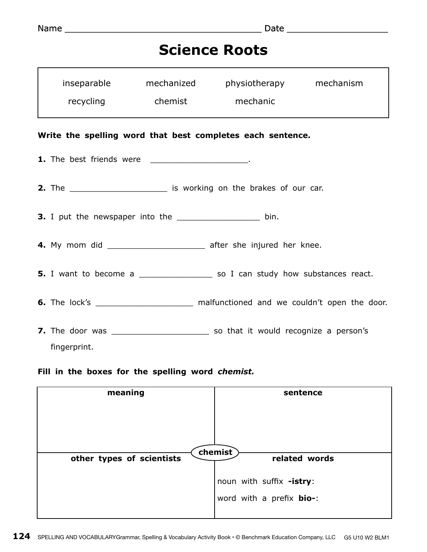## **Science Roots**

|                                                            | inseparable mechanized<br>recycling chemist                                         |  | physiotherapy mechanism<br>mechanic |  |  |  |
|------------------------------------------------------------|-------------------------------------------------------------------------------------|--|-------------------------------------|--|--|--|
|                                                            |                                                                                     |  |                                     |  |  |  |
| Write the spelling word that best completes each sentence. |                                                                                     |  |                                     |  |  |  |
|                                                            | 1. The best friends were _____________________.                                     |  |                                     |  |  |  |
|                                                            | 2. The ______________________________ is working on the brakes of our car.          |  |                                     |  |  |  |
|                                                            | 3. I put the newspaper into the ____________________ bin.                           |  |                                     |  |  |  |
|                                                            | 4. My mom did _________________________ after she injured her knee.                 |  |                                     |  |  |  |
|                                                            | 5. I want to become a __________________ so I can study how substances react.       |  |                                     |  |  |  |
|                                                            | 6. The lock's ________________________ malfunctioned and we couldn't open the door. |  |                                     |  |  |  |
|                                                            |                                                                                     |  |                                     |  |  |  |
|                                                            | fingerprint.                                                                        |  |                                     |  |  |  |

## **Fill in the boxes for the spelling word** *chemist.*